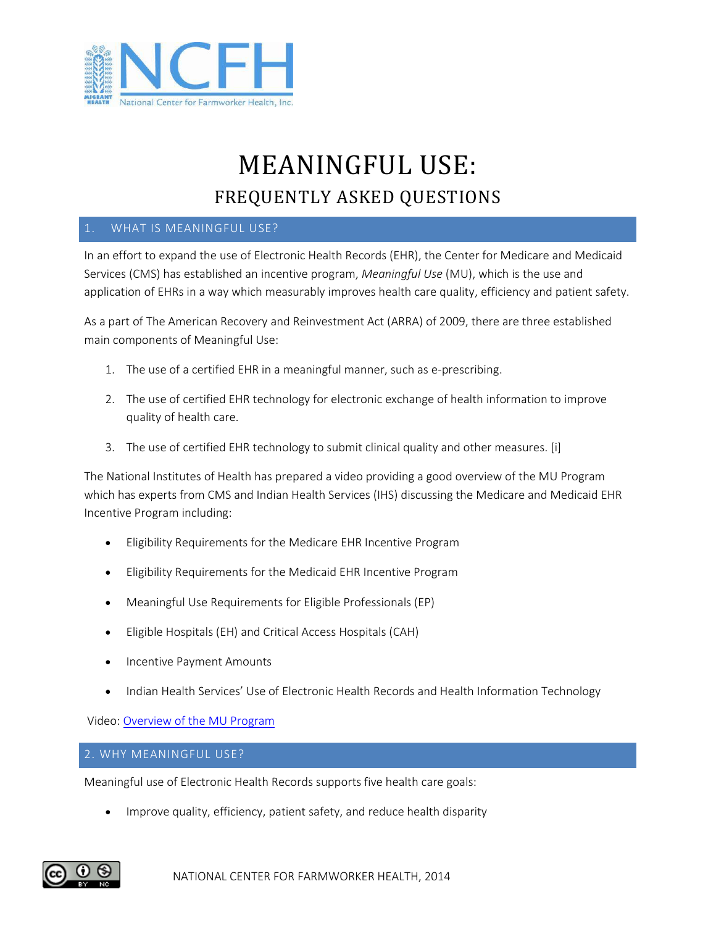

# MEANINGFUL USE: FREQUENTLY ASKED QUESTIONS

# 1. WHAT IS MEANINGFUL USE?

In an effort to expand the use of Electronic Health Records (EHR), the Center for Medicare and Medicaid Services (CMS) has established an incentive program, *Meaningful Use* (MU), which is the use and application of EHRs in a way which measurably improves health care quality, efficiency and patient safety.

As a part of The American Recovery and Reinvestment Act (ARRA) of 2009, there are three established main components of Meaningful Use:

- 1. The use of a certified EHR in a meaningful manner, such as e-prescribing.
- 2. The use of certified EHR technology for electronic exchange of health information to improve quality of health care.
- 3. The use of certified EHR technology to submit clinical quality and other measures. [i]

The National Institutes of Health has prepared a video providing a good overview of the MU Program which has experts from CMS and Indian Health Services (IHS) discussing the Medicare and Medicaid EHR Incentive Program including:

- Eligibility Requirements for the Medicare EHR Incentive Program
- Eligibility Requirements for the Medicaid EHR Incentive Program
- Meaningful Use Requirements for Eligible Professionals (EP)
- Eligible Hospitals (EH) and Critical Access Hospitals (CAH)
- Incentive Payment Amounts
- Indian Health Services' Use of Electronic Health Records and Health Information Technology

Video: [Overview of the MU Program](http://www.videocast.nih.gov/Summary.asp?File=16077)

2. WHY MEANINGFUL USE?

Meaningful use of Electronic Health Records supports five health care goals:

Improve quality, efficiency, patient safety, and reduce health disparity

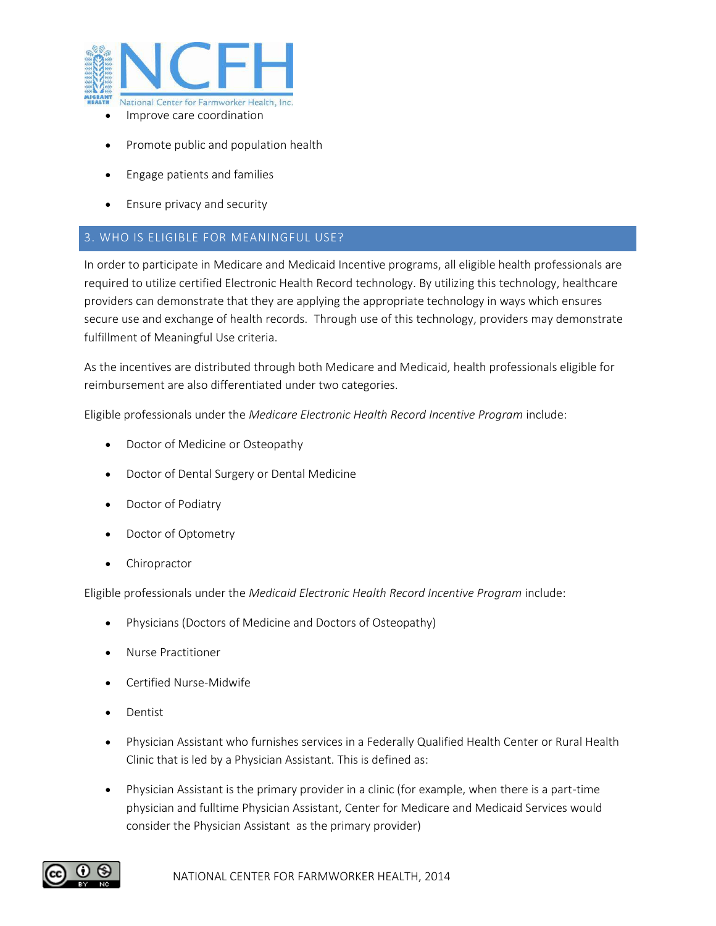

- Improve care coordination
- Promote public and population health
- Engage patients and families
- Ensure privacy and security

## 3. WHO IS ELIGIBLE FOR MEANINGFUL USE?

In order to participate in Medicare and Medicaid Incentive programs, all eligible health professionals are required to utilize certified Electronic Health Record technology. By utilizing this technology, healthcare providers can demonstrate that they are applying the appropriate technology in ways which ensures secure use and exchange of health records. Through use of this technology, providers may demonstrate fulfillment of Meaningful Use criteria.

As the incentives are distributed through both Medicare and Medicaid, health professionals eligible for reimbursement are also differentiated under two categories.

Eligible professionals under the *Medicare Electronic Health Record Incentive Program* include:

- Doctor of Medicine or Osteopathy
- Doctor of Dental Surgery or Dental Medicine
- Doctor of Podiatry
- Doctor of Optometry
- Chiropractor

Eligible professionals under the *Medicaid Electronic Health Record Incentive Program* include:

- Physicians (Doctors of Medicine and Doctors of Osteopathy)
- Nurse Practitioner
- Certified Nurse-Midwife
- Dentist
- Physician Assistant who furnishes services in a Federally Qualified Health Center or Rural Health Clinic that is led by a Physician Assistant. This is defined as:
- Physician Assistant is the primary provider in a clinic (for example, when there is a part-time physician and fulltime Physician Assistant, Center for Medicare and Medicaid Services would consider the Physician Assistant as the primary provider)

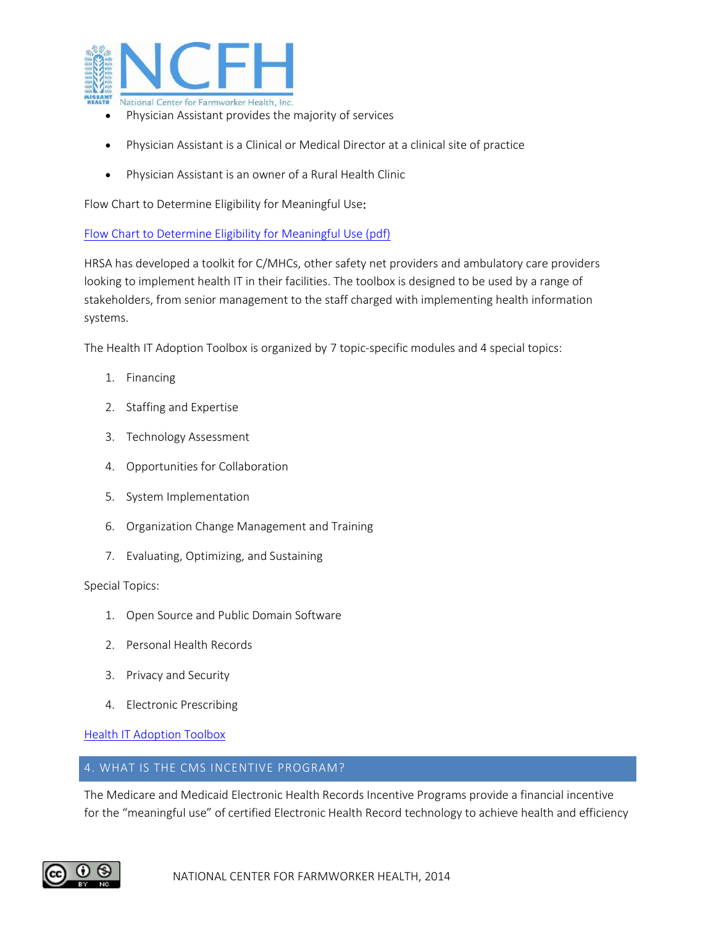

- Physician Assistant provides the majority of services
- Physician Assistant is a Clinical or Medical Director at a clinical site of practice
- Physician Assistant is an owner of a Rural Health Clinic

Flow Chart to Determine Eligibility for Meaningful Use:

[Flow Chart to Determine Eligibility for Meaningful Use \(pdf\)](https://www.cms.gov/MLNProducts/Downloads/Eligibility_Flow_Chart-ICN905343.pdf)

HRSA has developed a toolkit for C/MHCs, other safety net providers and ambulatory care providers looking to implement health IT in their facilities. The toolbox is designed to be used by a range of stakeholders, from senior management to the staff charged with implementing health information systems.

The Health IT Adoption Toolbox is organized by 7 topic-specific modules and 4 special topics:

- 1. Financing
- 2. Staffing and Expertise
- 3. Technology Assessment
- 4. Opportunities for Collaboration
- 5. System Implementation
- 6. Organization Change Management and Training
- 7. Evaluating, Optimizing, and Sustaining

Special Topics:

- 1. Open Source and Public Domain Software
- 2. Personal Health Records
- 3. Privacy and Security
- 4. Electronic Prescribing

[Health IT Adoption Toolbox](http://www.hrsa.gov/healthit/toolbox/HealthITAdoptiontoolbox/index.html)

### 4. WHAT IS THE CMS INCENTIVE PROGRAM?

The Medicare and Medicaid Electronic Health Records Incentive Programs provide a financial incentive for the "meaningful use" of certified Electronic Health Record technology to achieve health and efficiency

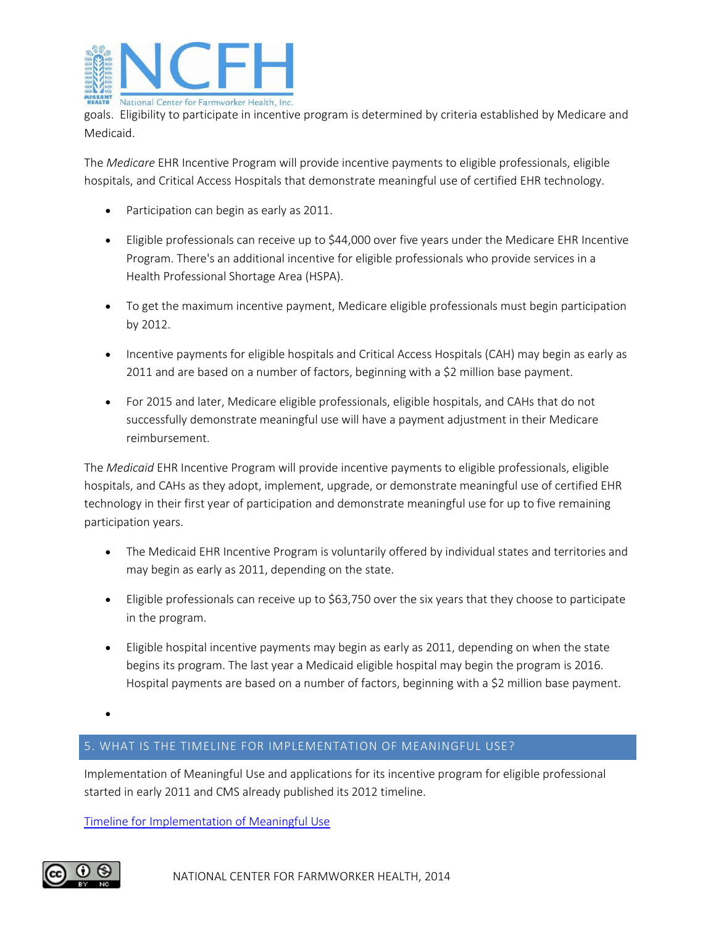

goals. Eligibility to participate in incentive program is determined by criteria established by Medicare and Medicaid.

The *Medicare* EHR Incentive Program will provide incentive payments to eligible professionals, eligible hospitals, and Critical Access Hospitals that demonstrate meaningful use of certified EHR technology.

- Participation can begin as early as 2011.
- Eligible professionals can receive up to \$44,000 over five years under the Medicare EHR Incentive Program. There's an additional incentive for eligible professionals who provide services in a Health Professional Shortage Area (HSPA).
- To get the maximum incentive payment, Medicare eligible professionals must begin participation by 2012.
- Incentive payments for eligible hospitals and Critical Access Hospitals (CAH) may begin as early as 2011 and are based on a number of factors, beginning with a \$2 million base payment.
- For 2015 and later, Medicare eligible professionals, eligible hospitals, and CAHs that do not successfully demonstrate meaningful use will have a payment adjustment in their Medicare reimbursement.

The *Medicaid* EHR Incentive Program will provide incentive payments to eligible professionals, eligible hospitals, and CAHs as they adopt, implement, upgrade, or demonstrate meaningful use of certified EHR technology in their first year of participation and demonstrate meaningful use for up to five remaining participation years.

- The Medicaid EHR Incentive Program is voluntarily offered by individual states and territories and may begin as early as 2011, depending on the state.
- Eligible professionals can receive up to \$63,750 over the six years that they choose to participate in the program.
- Eligible hospital incentive payments may begin as early as 2011, depending on when the state begins its program. The last year a Medicaid eligible hospital may begin the program is 2016. Hospital payments are based on a number of factors, beginning with a \$2 million base payment.

 $\bullet$ 

# 5. WHAT IS THE TIMELINE FOR IMPLEMENTATION OF MEANINGFUL USE?

Implementation of Meaningful Use and applications for its incentive program for eligible professional started in early 2011 and CMS already published its 2012 timeline.

[Timeline for Implementation of Meaningful Use](https://www.cms.gov/Regulations-and-Guidance/Legislation/EHRIncentivePrograms/Downloads/EHRIncentProgtimeline508V1.pdf)

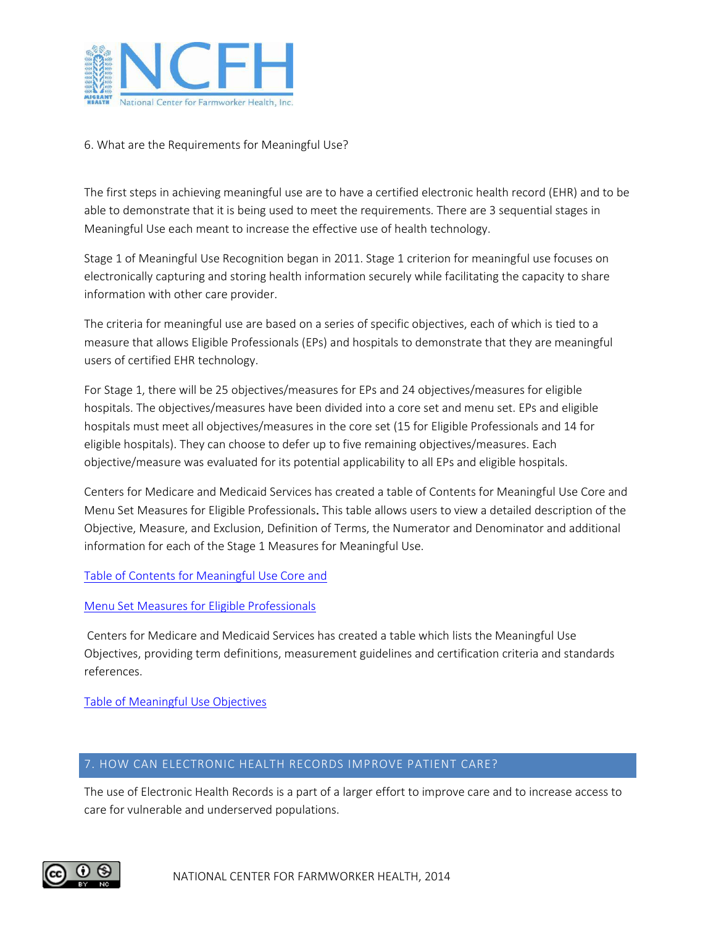

## 6. What are the Requirements for Meaningful Use?

The first steps in achieving meaningful use are to have a certified electronic health record (EHR) and to be able to demonstrate that it is being used to meet the requirements. There are 3 sequential stages in Meaningful Use each meant to increase the effective use of health technology.

Stage 1 of Meaningful Use Recognition began in 2011. Stage 1 criterion for meaningful use focuses on electronically capturing and storing health information securely while facilitating the capacity to share information with other care provider.

The criteria for meaningful use are based on a series of specific objectives, each of which is tied to a measure that allows Eligible Professionals (EPs) and hospitals to demonstrate that they are meaningful users of certified EHR technology.

For Stage 1, there will be 25 objectives/measures for EPs and 24 objectives/measures for eligible hospitals. The objectives/measures have been divided into a core set and menu set. EPs and eligible hospitals must meet all objectives/measures in the core set (15 for Eligible Professionals and 14 for eligible hospitals). They can choose to defer up to five remaining objectives/measures. Each objective/measure was evaluated for its potential applicability to all EPs and eligible hospitals.

Centers for Medicare and Medicaid Services has created a table of Contents for Meaningful Use Core and Menu Set Measures for Eligible Professionals. This table allows users to view a detailed description of the Objective, Measure, and Exclusion, Definition of Terms, the Numerator and Denominator and additional information for each of the Stage 1 Measures for Meaningful Use.

## [Table of Contents for Meaningful Use Core and](https://www.cms.gov/Regulations-and-Guidance/Legislation/EHRIncentivePrograms/downloads/EP-MU-TOC.pdf)

### [Menu Set Measures for Eligible Professionals](https://www.cms.gov/Regulations-and-Guidance/Legislation/EHRIncentivePrograms/downloads/EP-MU-TOC.pdf)

Centers for Medicare and Medicaid Services has created a table which lists the Meaningful Use Objectives, providing term definitions, measurement guidelines and certification criteria and standards references.

[Table of Meaningful Use Objectives](http://www.aha.org/content/11/mu-objectivesrefchart.pdf)

### 7. HOW CAN ELECTRONIC HEALTH RECORDS IMPROVE PATIENT CARE?

The use of Electronic Health Records is a part of a larger effort to improve care and to increase access to care for vulnerable and underserved populations.